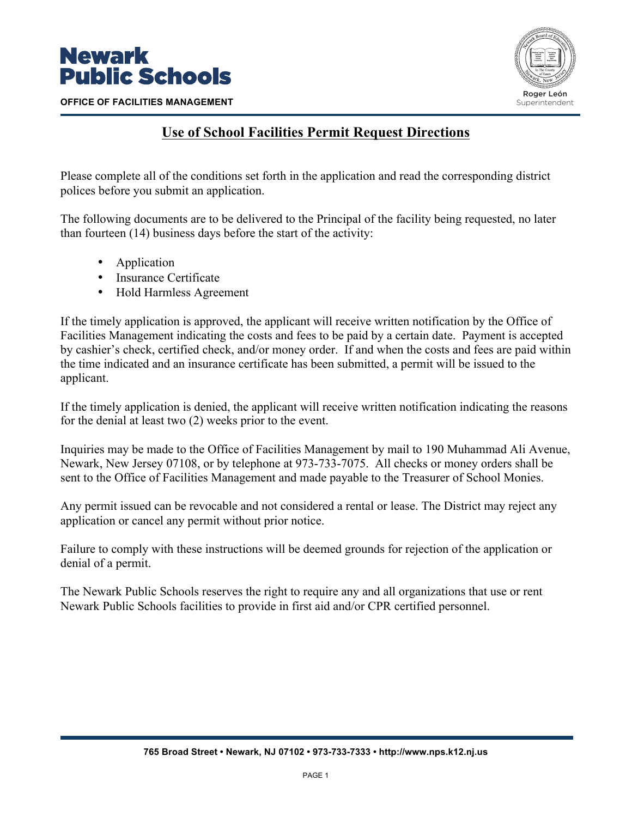

**OFFICE OF FACILITIES MANAGEMENT**



## **Use of School Facilities Permit Request Directions**

Please complete all of the conditions set forth in the application and read the corresponding district polices before you submit an application.

The following documents are to be delivered to the Principal of the facility being requested, no later than fourteen (14) business days before the start of the activity:

- Application
- Insurance Certificate
- Hold Harmless Agreement

If the timely application is approved, the applicant will receive written notification by the Office of Facilities Management indicating the costs and fees to be paid by a certain date. Payment is accepted by cashier's check, certified check, and/or money order. If and when the costs and fees are paid within the time indicated and an insurance certificate has been submitted, a permit will be issued to the applicant.

If the timely application is denied, the applicant will receive written notification indicating the reasons for the denial at least two (2) weeks prior to the event.

Inquiries may be made to the Office of Facilities Management by mail to 190 Muhammad Ali Avenue, Newark, New Jersey 07108, or by telephone at 973-733-7075. All checks or money orders shall be sent to the Office of Facilities Management and made payable to the Treasurer of School Monies.

Any permit issued can be revocable and not considered a rental or lease. The District may reject any application or cancel any permit without prior notice.

Failure to comply with these instructions will be deemed grounds for rejection of the application or denial of a permit.

The Newark Public Schools reserves the right to require any and all organizations that use or rent Newark Public Schools facilities to provide in first aid and/or CPR certified personnel.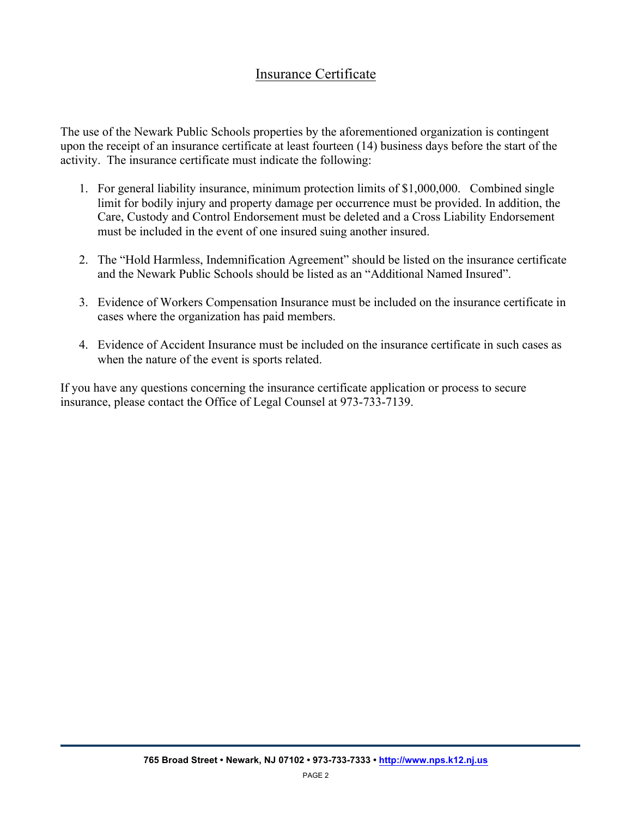## Insurance Certificate

The use of the Newark Public Schools properties by the aforementioned organization is contingent upon the receipt of an insurance certificate at least fourteen (14) business days before the start of the activity. The insurance certificate must indicate the following:

- 1. For general liability insurance, minimum protection limits of \$1,000,000. Combined single limit for bodily injury and property damage per occurrence must be provided. In addition, the Care, Custody and Control Endorsement must be deleted and a Cross Liability Endorsement must be included in the event of one insured suing another insured.
- 2. The "Hold Harmless, Indemnification Agreement" should be listed on the insurance certificate and the Newark Public Schools should be listed as an "Additional Named Insured".
- 3. Evidence of Workers Compensation Insurance must be included on the insurance certificate in cases where the organization has paid members.
- 4. Evidence of Accident Insurance must be included on the insurance certificate in such cases as when the nature of the event is sports related.

If you have any questions concerning the insurance certificate application or process to secure insurance, please contact the Office of Legal Counsel at 973-733-7139.